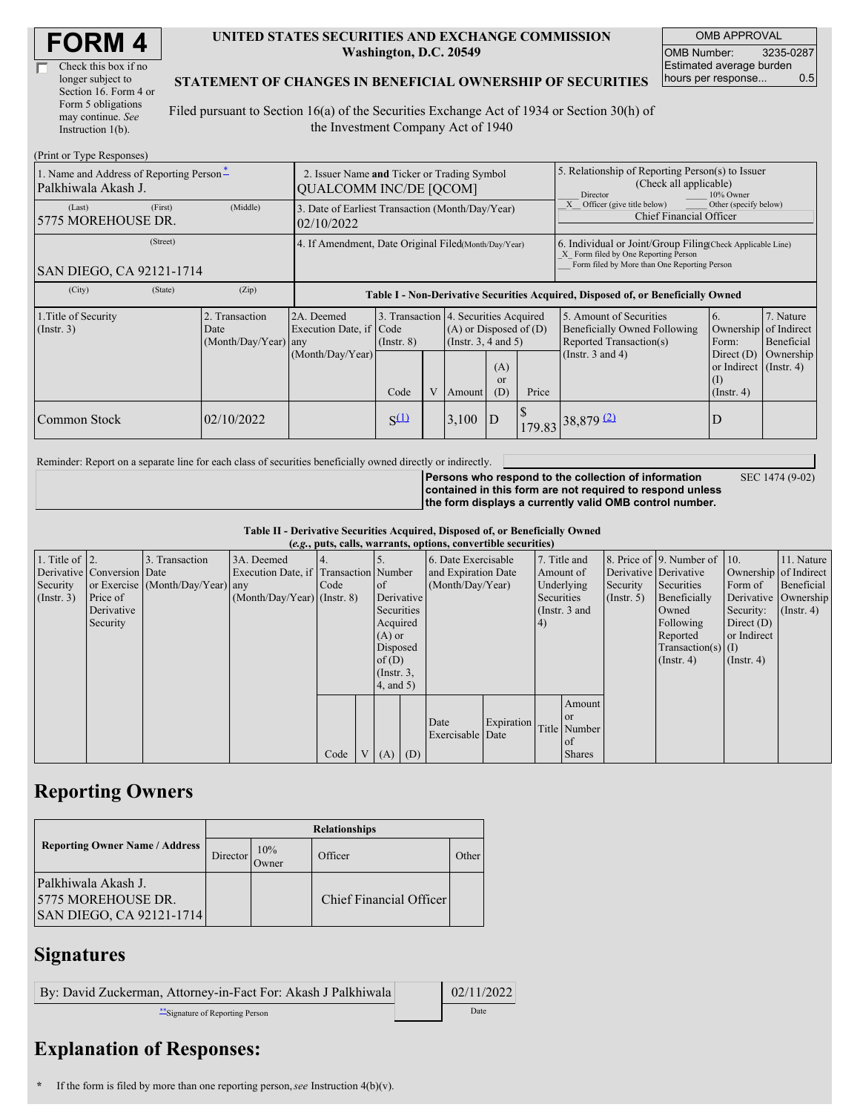| Check this box if no  |
|-----------------------|
| longer subject to     |
| Section 16. Form 4 or |
| Form 5 obligations    |
| may continue. See     |
| Instruction $1(b)$ .  |

#### **UNITED STATES SECURITIES AND EXCHANGE COMMISSION Washington, D.C. 20549**

OMB APPROVAL OMB Number: 3235-0287 Estimated average burden hours per response... 0.5

#### **STATEMENT OF CHANGES IN BENEFICIAL OWNERSHIP OF SECURITIES**

Filed pursuant to Section 16(a) of the Securities Exchange Act of 1934 or Section 30(h) of the Investment Company Act of 1940

| (Print or Type Responses)                                       |                                                                              |                                     |                                                                                  |                 |                             |                                                                                             |                                                                                                                                                    |                                                                   |                                                                                       |                                      |                         |  |
|-----------------------------------------------------------------|------------------------------------------------------------------------------|-------------------------------------|----------------------------------------------------------------------------------|-----------------|-----------------------------|---------------------------------------------------------------------------------------------|----------------------------------------------------------------------------------------------------------------------------------------------------|-------------------------------------------------------------------|---------------------------------------------------------------------------------------|--------------------------------------|-------------------------|--|
| 1. Name and Address of Reporting Person*<br>Palkhiwala Akash J. | 2. Issuer Name and Ticker or Trading Symbol<br><b>QUALCOMM INC/DE [QCOM]</b> |                                     |                                                                                  |                 |                             |                                                                                             | 5. Relationship of Reporting Person(s) to Issuer<br>(Check all applicable)<br>Director<br>10% Owner                                                |                                                                   |                                                                                       |                                      |                         |  |
| (Last)<br>5775 MOREHOUSE DR.                                    | (First)                                                                      | (Middle)                            | 3. Date of Earliest Transaction (Month/Day/Year)<br>02/10/2022                   |                 |                             |                                                                                             |                                                                                                                                                    |                                                                   | Officer (give title below)<br>Other (specify below)<br><b>Chief Financial Officer</b> |                                      |                         |  |
| (Street)<br>SAN DIEGO, CA 92121-1714                            | 4. If Amendment, Date Original Filed(Month/Day/Year)                         |                                     |                                                                                  |                 |                             |                                                                                             | 6. Individual or Joint/Group Filing Check Applicable Line)<br>X Form filed by One Reporting Person<br>Form filed by More than One Reporting Person |                                                                   |                                                                                       |                                      |                         |  |
| (City)                                                          | (State)                                                                      | (Zip)                               | Table I - Non-Derivative Securities Acquired, Disposed of, or Beneficially Owned |                 |                             |                                                                                             |                                                                                                                                                    |                                                                   |                                                                                       |                                      |                         |  |
| 1. Title of Security<br>(Insert. 3)<br>Date                     |                                                                              | Transaction<br>(Month/Day/Year) any | 2A. Deemed<br>Execution Date, if Code                                            | $($ Instr. $8)$ |                             | 3. Transaction 4. Securities Acquired<br>$(A)$ or Disposed of $(D)$<br>(Insert. 3, 4 and 5) |                                                                                                                                                    |                                                                   | 5. Amount of Securities<br>Beneficially Owned Following<br>Reported Transaction(s)    | 6.<br>Ownership of Indirect<br>Form: | 7. Nature<br>Beneficial |  |
|                                                                 | (Month/Day/Year)                                                             | Code                                | V                                                                                | Amount          | (A)<br><sub>or</sub><br>(D) | Price                                                                                       | (Instr. $3$ and $4$ )                                                                                                                              | Direct $(D)$<br>or Indirect (Instr. 4)<br>(I)<br>$($ Instr. 4 $)$ | Ownership                                                                             |                                      |                         |  |
| Common Stock                                                    |                                                                              | 02/10/2022                          |                                                                                  | $S^{(1)}$       |                             | 3,100                                                                                       | ID                                                                                                                                                 |                                                                   | $179.83$ 38,879 (2)                                                                   | D                                    |                         |  |

Reminder: Report on a separate line for each class of securities beneficially owned directly or indirectly.

SEC 1474 (9-02)

**Persons who respond to the collection of information contained in this form are not required to respond unless the form displays a currently valid OMB control number.**

**Table II - Derivative Securities Acquired, Disposed of, or Beneficially Owned (***e.g.***, puts, calls, warrants, options, convertible securities)**

|                        | $(0.5)$ puts, cans, wai rams, options, convertion securities |                                  |                                       |      |  |                 |            |                     |            |            |                 |                       |                              |                       |                      |
|------------------------|--------------------------------------------------------------|----------------------------------|---------------------------------------|------|--|-----------------|------------|---------------------|------------|------------|-----------------|-----------------------|------------------------------|-----------------------|----------------------|
| 1. Title of $\vert$ 2. |                                                              | 3. Transaction                   | 3A. Deemed                            | 4.   |  |                 |            | 6. Date Exercisable |            |            | 7. Title and    |                       | 8. Price of 9. Number of 10. |                       | 11. Nature           |
|                        | Derivative Conversion Date                                   |                                  | Execution Date, if Transaction Number |      |  |                 |            | and Expiration Date |            | Amount of  |                 | Derivative Derivative |                              | Ownership of Indirect |                      |
| Security               |                                                              | or Exercise (Month/Day/Year) any |                                       | Code |  | of              |            | (Month/Day/Year)    |            |            | Underlying      | Security              | Securities                   | Form of               | Beneficial           |
| (Insert. 3)            | Price of                                                     |                                  | $(Month/Day/Year)$ (Instr. 8)         |      |  |                 | Derivative |                     |            | Securities |                 | $($ Instr. 5)         | Beneficially                 |                       | Derivative Ownership |
|                        | Derivative                                                   |                                  |                                       |      |  | Securities      |            |                     |            |            | (Instr. $3$ and |                       | Owned                        | Security:             | $($ Instr. 4 $)$     |
|                        | Security                                                     |                                  |                                       |      |  | Acquired        |            |                     |            | 4)         |                 |                       | Following                    | Direct $(D)$          |                      |
|                        |                                                              |                                  |                                       |      |  | $(A)$ or        |            |                     |            |            |                 |                       | Reported                     | or Indirect           |                      |
|                        |                                                              |                                  |                                       |      |  | Disposed        |            |                     |            |            |                 |                       | $Transaction(s)$ (I)         |                       |                      |
|                        |                                                              |                                  |                                       |      |  | of(D)           |            |                     |            |            |                 |                       | $($ Instr. 4)                | $($ Instr. 4 $)$      |                      |
|                        |                                                              |                                  |                                       |      |  | $($ Instr. 3,   |            |                     |            |            |                 |                       |                              |                       |                      |
|                        |                                                              |                                  |                                       |      |  | $4$ , and $5$ ) |            |                     |            |            |                 |                       |                              |                       |                      |
|                        |                                                              |                                  |                                       |      |  |                 |            |                     |            |            | Amount          |                       |                              |                       |                      |
|                        |                                                              |                                  |                                       |      |  |                 |            | Date                | Expiration |            | <sub>or</sub>   |                       |                              |                       |                      |
|                        |                                                              |                                  |                                       |      |  |                 |            | Exercisable Date    |            |            | Title Number    |                       |                              |                       |                      |
|                        |                                                              |                                  |                                       |      |  |                 |            |                     |            |            | of              |                       |                              |                       |                      |
|                        |                                                              |                                  |                                       | Code |  | V(A)            | (D)        |                     |            |            | <b>Shares</b>   |                       |                              |                       |                      |

### **Reporting Owners**

|                                                                        | <b>Relationships</b> |              |                         |       |  |  |  |  |  |
|------------------------------------------------------------------------|----------------------|--------------|-------------------------|-------|--|--|--|--|--|
| <b>Reporting Owner Name / Address</b>                                  | Director             | 10%<br>Owner | Officer                 | Other |  |  |  |  |  |
| Palkhiwala Akash J.<br>15775 MOREHOUSE DR.<br>SAN DIEGO, CA 92121-1714 |                      |              | Chief Financial Officer |       |  |  |  |  |  |

## **Signatures**

| By: David Zuckerman, Attorney-in-Fact For: Akash J Palkhiwala | 02/11/2022 |
|---------------------------------------------------------------|------------|
| Signature of Reporting Person                                 | Date       |

# **Explanation of Responses:**

**<sup>\*</sup>** If the form is filed by more than one reporting person,*see* Instruction 4(b)(v).